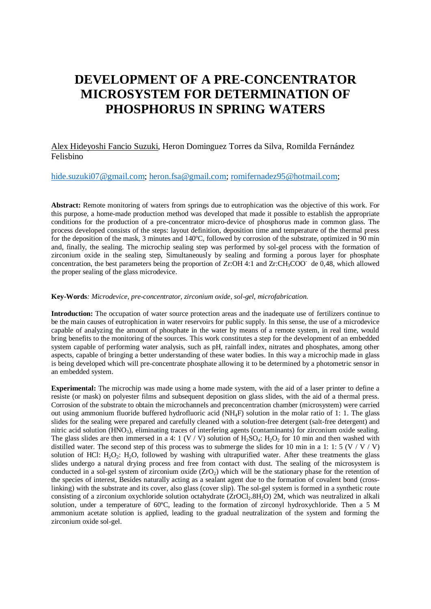# **DEVELOPMENT OF A PRE-CONCENTRATOR MICROSYSTEM FOR DETERMINATION OF PHOSPHORUS IN SPRING WATERS**

### Alex Hideyoshi Fancio Suzuki, Heron Dominguez Torres da Silva, Romilda Fernández Felisbino

## [hide.suzuki07@gmail.com;](mailto:hide.suzuki07@gmail.com) [heron.fsa@gmail.com;](mailto:heron.fsa@gmail.com) [romifernadez95@hotmail.com;](mailto:romifernadez95@hotmail.com)

**Abstract:** Remote monitoring of waters from springs due to eutrophication was the objective of this work. For this purpose, a home-made production method was developed that made it possible to establish the appropriate conditions for the production of a pre-concentrator micro-device of phosphorus made in common glass. The process developed consists of the steps: layout definition, deposition time and temperature of the thermal press for the deposition of the mask, 3 minutes and 140°C, followed by corrosion of the substrate, optimized in 90 min and, finally, the sealing. The microchip sealing step was performed by sol-gel process with the formation of zirconium oxide in the sealing step, Simultaneously by sealing and forming a porous layer for phosphate concentration, the best parameters being the proportion of Zr:OH 4:1 and Zr:CH<sub>3</sub>COO<sup>-</sup> de 0,48, which allowed the proper sealing of the glass microdevice.

#### **Key-Words***: Microdevice, pre-concentrator, zirconium oxide, sol-gel, microfabrication.*

**Introduction:** The occupation of water source protection areas and the inadequate use of fertilizers continue to be the main causes of eutrophication in water reservoirs for public supply. In this sense, the use of a microdevice capable of analyzing the amount of phosphate in the water by means of a remote system, in real time, would bring benefits to the monitoring of the sources. This work constitutes a step for the development of an embedded system capable of performing water analysis, such as pH, rainfall index, nitrates and phosphates, among other aspects, capable of bringing a better understanding of these water bodies. In this way a microchip made in glass is being developed which will pre-concentrate phosphate allowing it to be determined by a photometric sensor in an embedded system.

**Experimental:** The microchip was made using a home made system, with the aid of a laser printer to define a resiste (or mask) on polyester films and subsequent deposition on glass slides, with the aid of a thermal press. Corrosion of the substrate to obtain the microchannels and preconcentration chamber (microsystem) were carried out using ammonium fluoride buffered hydrofluoric acid (NH4F) solution in the molar ratio of 1: 1. The glass slides for the sealing were prepared and carefully cleaned with a solution-free detergent (salt-free detergent) and nitric acid solution (HNO3), eliminating traces of interfering agents (contaminants) for zirconium oxide sealing. The glass slides are then immersed in a 4: 1 (V / V) solution of  $H_2SO_4$ :  $H_2O_2$  for 10 min and then washed with distilled water. The second step of this process was to submerge the slides for 10 min in a 1: 1: 5 (V / V / V) solution of HCl:  $H_2O_2$ :  $H_2O$ , followed by washing with ultrapurified water. After these treatments the glass slides undergo a natural drying process and free from contact with dust. The sealing of the microsystem is conducted in a sol-gel system of zirconium oxide  $(ZrO<sub>2</sub>)$  which will be the stationary phase for the retention of the species of interest, Besides naturally acting as a sealant agent due to the formation of covalent bond (crosslinking) with the substrate and its cover, also glass (cover slip). The sol-gel system is formed in a synthetic route consisting of a zirconium oxychloride solution octahydrate  $(ZrOCl<sub>2</sub>.8H<sub>2</sub>O)$  2M, which was neutralized in alkali solution, under a temperature of 60ºC, leading to the formation of zirconyl hydroxychloride. Then a 5 M ammonium acetate solution is applied, leading to the gradual neutralization of the system and forming the zirconium oxide sol-gel.